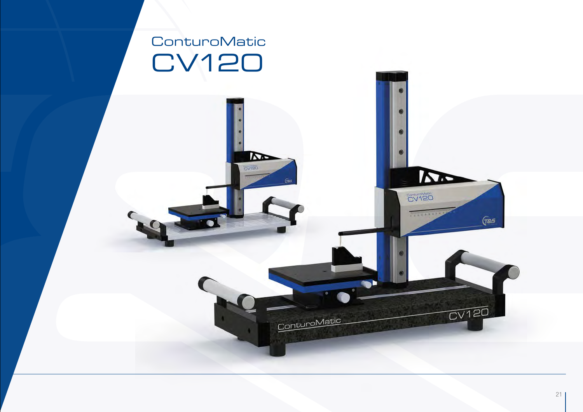